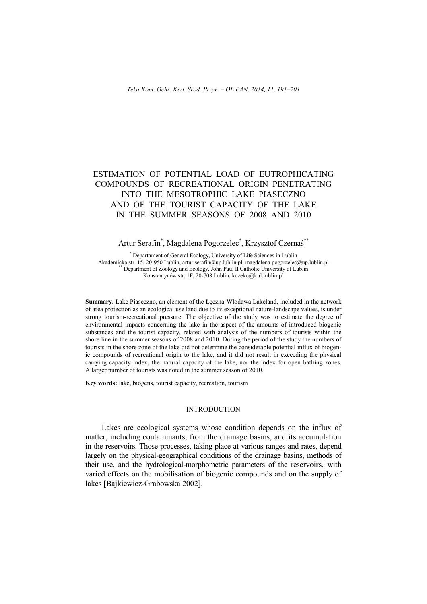# ESTIMATION OF POTENTIAL LOAD OF EUTROPHICATING COMPOUNDS OF RECREATIONAL ORIGIN PENETRATING INTO THE MESOTROPHIC LAKE PIASECZNO AND OF THE TOURIST CAPACITY OF THE LAKE IN THE SUMMER SEASONS OF 2008 AND 2010

## Artur Serafin\* , Magdalena Pogorzelec\* , Krzysztof Czernaś\*\*

\* Departament of General Ecology, University of Life Sciences in Lublin Akademicka str. 15, 20-950 Lublin, artur.serafin@up.lublin.pl, magdalena.pogorzelec@up.lublin.pl \*\* Department of Zoology and Ecology, John Paul II Catholic University of Lublin Konstantynów str. 1F, 20-708 Lublin, kczeko@kul.lublin.pl

**Summary.** Lake Piaseczno, an element of the Łęczna-Włodawa Lakeland, included in the network of area protection as an ecological use land due to its exceptional nature-landscape values, is under strong tourism-recreational pressure. The objective of the study was to estimate the degree of environmental impacts concerning the lake in the aspect of the amounts of introduced biogenic substances and the tourist capacity, related with analysis of the numbers of tourists within the shore line in the summer seasons of 2008 and 2010. During the period of the study the numbers of tourists in the shore zone of the lake did not determine the considerable potential influx of biogenic compounds of recreational origin to the lake, and it did not result in exceeding the physical carrying capacity index, the natural capacity of the lake, nor the index for open bathing zones. A larger number of tourists was noted in the summer season of 2010.

**Key words:** lake, biogens, tourist capacity, recreation, tourism

## INTRODUCTION

Lakes are ecological systems whose condition depends on the influx of matter, including contaminants, from the drainage basins, and its accumulation in the reservoirs. Those processes, taking place at various ranges and rates, depend largely on the physical-geographical conditions of the drainage basins, methods of their use, and the hydrological-morphometric parameters of the reservoirs, with varied effects on the mobilisation of biogenic compounds and on the supply of lakes [Bajkiewicz-Grabowska 2002].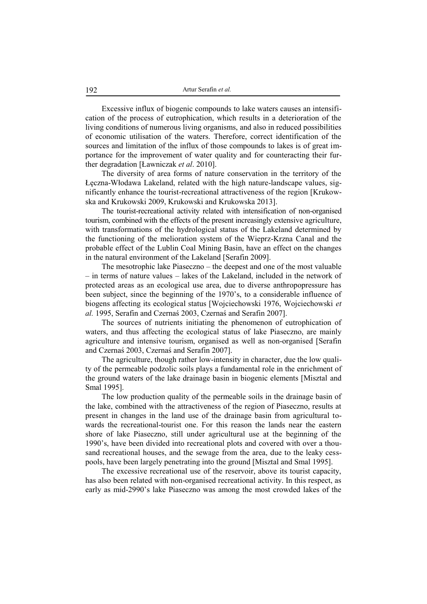Excessive influx of biogenic compounds to lake waters causes an intensification of the process of eutrophication, which results in a deterioration of the living conditions of numerous living organisms, and also in reduced possibilities of economic utilisation of the waters. Therefore, correct identification of the sources and limitation of the influx of those compounds to lakes is of great importance for the improvement of water quality and for counteracting their further degradation [Ławniczak *et al*. 2010].

The diversity of area forms of nature conservation in the territory of the Łęczna-Włodawa Lakeland, related with the high nature-landscape values, significantly enhance the tourist-recreational attractiveness of the region [Krukowska and Krukowski 2009, Krukowski and Krukowska 2013].

The tourist-recreational activity related with intensification of non-organised tourism, combined with the effects of the present increasingly extensive agriculture, with transformations of the hydrological status of the Lakeland determined by the functioning of the melioration system of the Wieprz-Krzna Canal and the probable effect of the Lublin Coal Mining Basin, have an effect on the changes in the natural environment of the Lakeland [Serafin 2009].

The mesotrophic lake Piaseczno – the deepest and one of the most valuable – in terms of nature values – lakes of the Lakeland, included in the network of protected areas as an ecological use area, due to diverse anthropopressure has been subject, since the beginning of the 1970's, to a considerable influence of biogens affecting its ecological status [Wojciechowski 1976, Wojciechowski *et al.* 1995, Serafin and Czernaś 2003, Czernaś and Serafin 2007].

The sources of nutrients initiating the phenomenon of eutrophication of waters, and thus affecting the ecological status of lake Piaseczno, are mainly agriculture and intensive tourism, organised as well as non-organised [Serafin and Czernaś 2003, Czernaś and Serafin 2007].

The agriculture, though rather low-intensity in character, due the low quality of the permeable podzolic soils plays a fundamental role in the enrichment of the ground waters of the lake drainage basin in biogenic elements [Misztal and Smal 1995].

The low production quality of the permeable soils in the drainage basin of the lake, combined with the attractiveness of the region of Piaseczno, results at present in changes in the land use of the drainage basin from agricultural towards the recreational-tourist one. For this reason the lands near the eastern shore of lake Piaseczno, still under agricultural use at the beginning of the 1990's, have been divided into recreational plots and covered with over a thousand recreational houses, and the sewage from the area, due to the leaky cesspools, have been largely penetrating into the ground [Misztal and Smal 1995].

The excessive recreational use of the reservoir, above its tourist capacity, has also been related with non-organised recreational activity. In this respect, as early as mid-2990's lake Piaseczno was among the most crowded lakes of the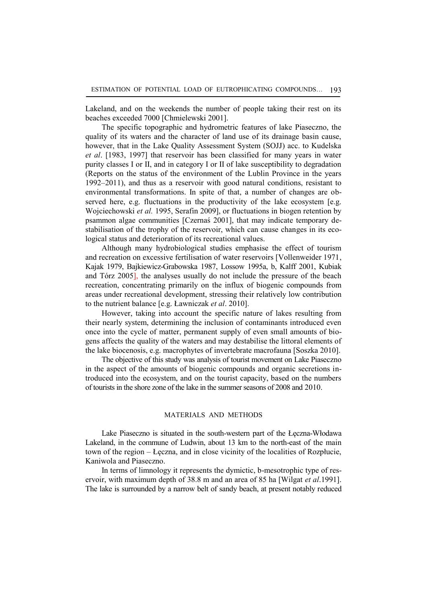Lakeland, and on the weekends the number of people taking their rest on its beaches exceeded 7000 [Chmielewski 2001].

The specific topographic and hydrometric features of lake Piaseczno, the quality of its waters and the character of land use of its drainage basin cause, however, that in the Lake Quality Assessment System (SOJJ) acc. to Kudelska *et al*. [1983, 1997] that reservoir has been classified for many years in water purity classes I or II, and in category I or II of lake susceptibility to degradation (Reports on the status of the environment of the Lublin Province in the years 1992–2011), and thus as a reservoir with good natural conditions, resistant to environmental transformations. In spite of that, a number of changes are observed here, e.g. fluctuations in the productivity of the lake ecosystem [e.g. Wojciechowski *et al.* 1995, Serafin 2009], or fluctuations in biogen retention by psammon algae communities [Czernaś 2001], that may indicate temporary destabilisation of the trophy of the reservoir, which can cause changes in its ecological status and deterioration of its recreational values.

Although many hydrobiological studies emphasise the effect of tourism and recreation on excessive fertilisation of water reservoirs [Vollenweider 1971, Kajak 1979, Bajkiewicz-Grabowska 1987, Lossow 1995a, b, Kalff 2001, Kubiak and Tórz 2005], the analyses usually do not include the pressure of the beach recreation, concentrating primarily on the influx of biogenic compounds from areas under recreational development, stressing their relatively low contribution to the nutrient balance [e.g. Ławniczak *et al*. 2010].

However, taking into account the specific nature of lakes resulting from their nearly system, determining the inclusion of contaminants introduced even once into the cycle of matter, permanent supply of even small amounts of biogens affects the quality of the waters and may destabilise the littoral elements of the lake biocenosis, e.g. macrophytes of invertebrate macrofauna [Soszka 2010].

The objective of this study was analysis of tourist movement on Lake Piaseczno in the aspect of the amounts of biogenic compounds and organic secretions introduced into the ecosystem, and on the tourist capacity, based on the numbers of tourists in the shore zone of the lake in the summer seasons of 2008 and 2010.

## MATERIALS AND METHODS

Lake Piaseczno is situated in the south-western part of the Łęczna-Włodawa Lakeland, in the commune of Ludwin, about 13 km to the north-east of the main town of the region – Łęczna, and in close vicinity of the localities of Rozpłucie, Kaniwola and Piaseczno.

In terms of limnology it represents the dymictic, b-mesotrophic type of reservoir, with maximum depth of 38.8 m and an area of 85 ha [Wilgat *et al*.1991]. The lake is surrounded by a narrow belt of sandy beach, at present notably reduced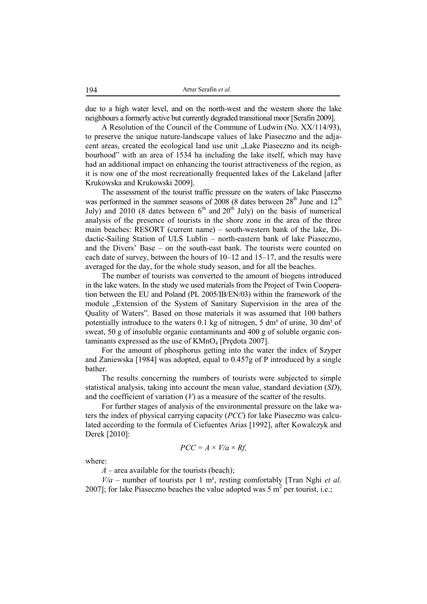due to a high water level, and on the north-west and the western shore the lake neighbours a formerly active but currently degraded transitional moor [Serafin 2009].

A Resolution of the Council of the Commune of Ludwin (No. XX/114/93), to preserve the unique nature-landscape values of lake Piaseczno and the adjacent areas, created the ecological land use unit "Lake Piaseczno and its neighbourhood" with an area of 1534 ha including the lake itself, which may have had an additional impact on enhancing the tourist attractiveness of the region, as it is now one of the most recreationally frequented lakes of the Lakeland [after Krukowska and Krukowski 2009].

The assessment of the tourist traffic pressure on the waters of lake Piaseczno was performed in the summer seasons of  $2008$  (8 dates between  $28<sup>th</sup>$  June and  $12<sup>th</sup>$ July) and 2010 (8 dates between  $6<sup>th</sup>$  and  $20<sup>th</sup>$  July) on the basis of numerical analysis of the presence of tourists in the shore zone in the area of the three main beaches: RESORT (current name) – south-western bank of the lake, Didactic-Sailing Station of ULS Lublin – north-eastern bank of lake Piaseczno, and the Divers' Base – on the south-east bank. The tourists were counted on each date of survey, between the hours of 10–12 and 15–17, and the results were averaged for the day, for the whole study season, and for all the beaches.

The number of tourists was converted to the amount of biogens introduced in the lake waters. In the study we used materials from the Project of Twin Cooperation between the EU and Poland (PL 2005/IB/EN/03) within the framework of the module "Extension of the System of Sanitary Supervision in the area of the Quality of Waters". Based on those materials it was assumed that 100 bathers potentially introduce to the waters  $0.1$  kg of nitrogen, 5 dm<sup>3</sup> of urine, 30 dm<sup>3</sup> of sweat, 50 g of insoluble organic contaminants and 400 g of soluble organic contaminants expressed as the use of  $KMnO<sub>4</sub>$  [Prędota 2007].

For the amount of phosphorus getting into the water the index of Szyper and Zaniewska [1984] was adopted, equal to 0.457g of P introduced by a single bather.

The results concerning the numbers of tourists were subjected to simple statistical analysis, taking into account the mean value, standard deviation (*SD*), and the coefficient of variation  $(V)$  as a measure of the scatter of the results.

For further stages of analysis of the environmental pressure on the lake waters the index of physical carrying capacity (*PCC*) for lake Piaseczno was calculated according to the formula of Ciefuentes Arias [1992], after Kowalczyk and Derek [2010]:

$$
PCC = A \times V/a \times Rf,
$$

where:

*A* – area available for the tourists (beach);

*V/a* – number of tourists per 1 m², resting comfortably [Tran Nghi *et al*. 2007]; for lake Piaseczno beaches the value adopted was 5  $m^2$  per tourist, i.e.;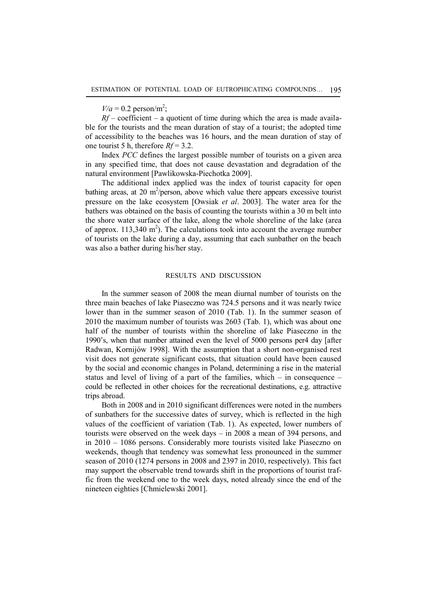$V/a = 0.2$  person/m<sup>2</sup>;

 $Rf$  – coefficient – a quotient of time during which the area is made available for the tourists and the mean duration of stay of a tourist; the adopted time of accessibility to the beaches was 16 hours, and the mean duration of stay of one tourist 5 h, therefore *Rf* = 3.2.

Index *PCC* defines the largest possible number of tourists on a given area in any specified time, that does not cause devastation and degradation of the natural environment [Pawlikowska-Piechotka 2009].

The additional index applied was the index of tourist capacity for open bathing areas, at 20  $m^2$ /person, above which value there appears excessive tourist pressure on the lake ecosystem [Owsiak *et al*. 2003]. The water area for the bathers was obtained on the basis of counting the tourists within a 30 m belt into the shore water surface of the lake, along the whole shoreline of the lake (area of approx.  $113,340 \text{ m}^2$ ). The calculations took into account the average number of tourists on the lake during a day, assuming that each sunbather on the beach was also a bather during his/her stay.

#### RESULTS AND DISCUSSION

In the summer season of 2008 the mean diurnal number of tourists on the three main beaches of lake Piaseczno was 724.5 persons and it was nearly twice lower than in the summer season of 2010 (Tab. 1). In the summer season of 2010 the maximum number of tourists was 2603 (Tab. 1), which was about one half of the number of tourists within the shoreline of lake Piaseczno in the 1990's, when that number attained even the level of 5000 persons per4 day [after Radwan, Kornijów 1998]. With the assumption that a short non-organised rest visit does not generate significant costs, that situation could have been caused by the social and economic changes in Poland, determining a rise in the material status and level of living of a part of the families, which – in consequence – could be reflected in other choices for the recreational destinations, e.g. attractive trips abroad.

Both in 2008 and in 2010 significant differences were noted in the numbers of sunbathers for the successive dates of survey, which is reflected in the high values of the coefficient of variation (Tab. 1). As expected, lower numbers of tourists were observed on the week days – in 2008 a mean of 394 persons, and in 2010 – 1086 persons. Considerably more tourists visited lake Piaseczno on weekends, though that tendency was somewhat less pronounced in the summer season of 2010 (1274 persons in 2008 and 2397 in 2010, respectively). This fact may support the observable trend towards shift in the proportions of tourist traffic from the weekend one to the week days, noted already since the end of the nineteen eighties [Chmielewski 2001].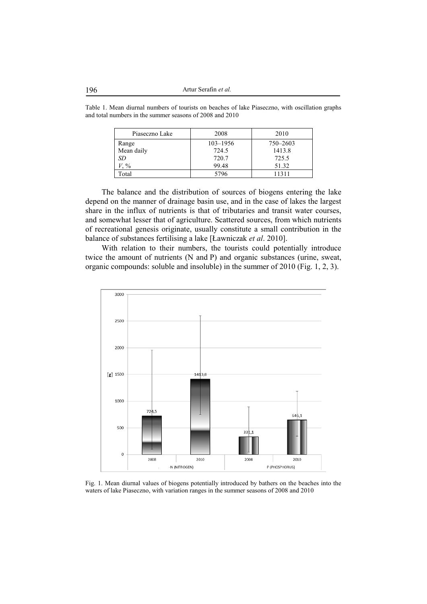Table 1. Mean diurnal numbers of tourists on beaches of lake Piaseczno, with oscillation graphs and total numbers in the summer seasons of 2008 and 2010

| Piaseczno Lake | 2008         | 2010     |
|----------------|--------------|----------|
| Range          | $103 - 1956$ | 750-2603 |
| Mean daily     | 724.5        | 1413.8   |
| SD             | 720.7        | 725.5    |
| $\frac{0}{0}$  | 99.48        | 51.32    |
| Fotal          | 5796         | 11311    |

The balance and the distribution of sources of biogens entering the lake depend on the manner of drainage basin use, and in the case of lakes the largest share in the influx of nutrients is that of tributaries and transit water courses, and somewhat lesser that of agriculture. Scattered sources, from which nutrients of recreational genesis originate, usually constitute a small contribution in the balance of substances fertilising a lake [Ławniczak *et al*. 2010].

With relation to their numbers, the tourists could potentially introduce twice the amount of nutrients (N and P) and organic substances (urine, sweat, organic compounds: soluble and insoluble) in the summer of 2010 (Fig. 1, 2, 3).



Fig. 1. Mean diurnal values of biogens potentially introduced by bathers on the beaches into the waters of lake Piaseczno, with variation ranges in the summer seasons of 2008 and 2010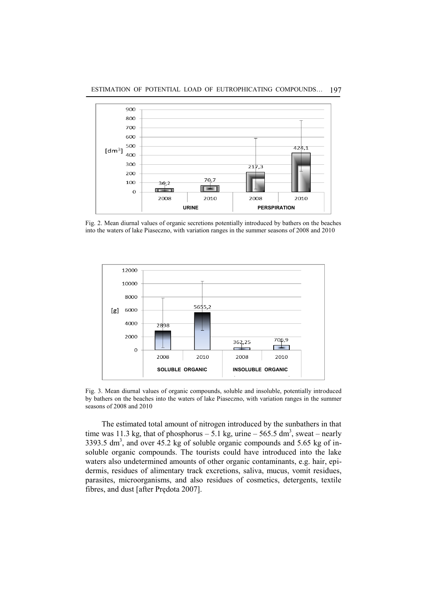

Fig. 2. Mean diurnal values of organic secretions potentially introduced by bathers on the beaches into the waters of lake Piaseczno, with variation ranges in the summer seasons of 2008 and 2010



Fig. 3. Mean diurnal values of organic compounds, soluble and insoluble, potentially introduced by bathers on the beaches into the waters of lake Piaseczno, with variation ranges in the summer seasons of 2008 and 2010

The estimated total amount of nitrogen introduced by the sunbathers in that time was 11.3 kg, that of phosphorus  $-5.1$  kg, urine  $-565.5$  dm<sup>3</sup>, sweat  $-$  nearly  $3393.5$  dm<sup>3</sup>, and over  $45.2$  kg of soluble organic compounds and  $5.65$  kg of insoluble organic compounds. The tourists could have introduced into the lake waters also undetermined amounts of other organic contaminants, e.g. hair, epidermis, residues of alimentary track excretions, saliva, mucus, vomit residues, parasites, microorganisms, and also residues of cosmetics, detergents, textile fibres, and dust [after Prędota 2007].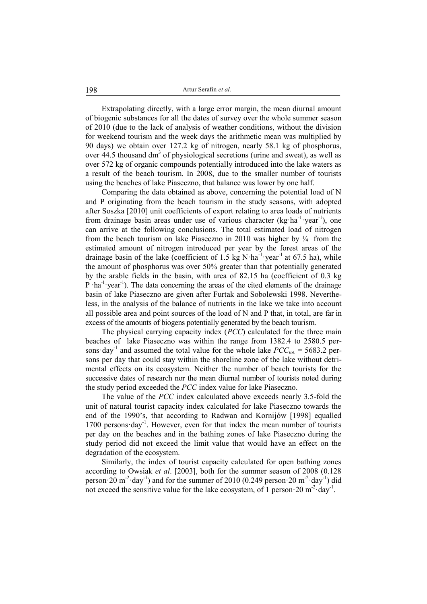Extrapolating directly, with a large error margin, the mean diurnal amount of biogenic substances for all the dates of survey over the whole summer season of 2010 (due to the lack of analysis of weather conditions, without the division for weekend tourism and the week days the arithmetic mean was multiplied by 90 days) we obtain over 127.2 kg of nitrogen, nearly 58.1 kg of phosphorus, over 44.5 thousand dm<sup>3</sup> of physiological secretions (urine and sweat), as well as over 572 kg of organic compounds potentially introduced into the lake waters as a result of the beach tourism. In 2008, due to the smaller number of tourists using the beaches of lake Piaseczno, that balance was lower by one half.

Comparing the data obtained as above, concerning the potential load of N and P originating from the beach tourism in the study seasons, with adopted after Soszka [2010] unit coefficients of export relating to area loads of nutrients from drainage basin areas under use of various character (kg·ha<sup>-1</sup>·year<sup>-1</sup>), one can arrive at the following conclusions. The total estimated load of nitrogen from the beach tourism on lake Piaseczno in 2010 was higher by  $\frac{1}{4}$  from the estimated amount of nitrogen introduced per year by the forest areas of the drainage basin of the lake (coefficient of 1.5 kg N·ha<sup>-1</sup>·year<sup>-1</sup> at 67.5 ha), while the amount of phosphorus was over 50% greater than that potentially generated by the arable fields in the basin, with area of 82.15 ha (coefficient of 0.3 kg P ·ha<sup>-1</sup> ·year<sup>-1</sup>). The data concerning the areas of the cited elements of the drainage basin of lake Piaseczno are given after Furtak and Sobolewski 1998. Nevertheless, in the analysis of the balance of nutrients in the lake we take into account all possible area and point sources of the load of N and P that, in total, are far in excess of the amounts of biogens potentially generated by the beach tourism.

The physical carrying capacity index (*PCC*) calculated for the three main beaches of lake Piaseczno was within the range from 1382.4 to 2580.5 persons day<sup>-1</sup> and assumed the total value for the whole lake  $PCC_{tot} = 5683.2$  persons per day that could stay within the shoreline zone of the lake without detrimental effects on its ecosystem. Neither the number of beach tourists for the successive dates of research nor the mean diurnal number of tourists noted during the study period exceeded the *PCC* index value for lake Piaseczno.

The value of the *PCC* index calculated above exceeds nearly 3.5-fold the unit of natural tourist capacity index calculated for lake Piaseczno towards the end of the 1990's, that according to Radwan and Kornijów [1998] equalled 1700 persons day<sup>-1</sup>. However, even for that index the mean number of tourists per day on the beaches and in the bathing zones of lake Piaseczno during the study period did not exceed the limit value that would have an effect on the degradation of the ecosystem.

Similarly, the index of tourist capacity calculated for open bathing zones according to Owsiak *et al*. [2003], both for the summer season of 2008 (0.128 person $\cdot$  20 m<sup>-2</sup> $\cdot$ day<sup>-1</sup>) and for the summer of 2010 (0.249 person $\cdot$  20 m<sup>-2</sup> $\cdot$ day<sup>-1</sup>) did not exceed the sensitive value for the lake ecosystem, of 1 person 20 m<sup>-2</sup> day<sup>-1</sup>.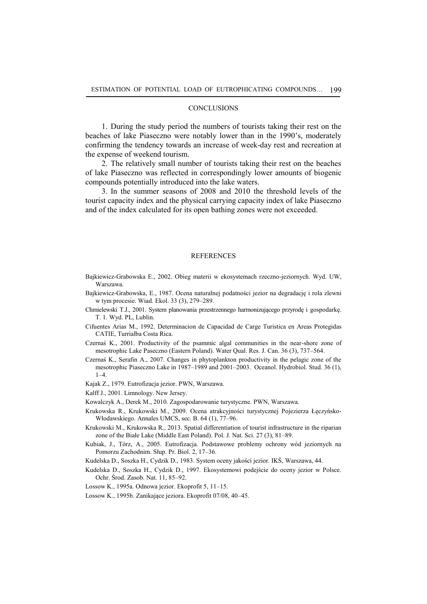#### **CONCLUSIONS**

1. During the study period the numbers of tourists taking their rest on the beaches of lake Piaseczno were notably lower than in the 1990's, moderately confirming the tendency towards an increase of week-day rest and recreation at the expense of weekend tourism.

2. The relatively small number of tourists taking their rest on the beaches of lake Piaseczno was reflected in correspondingly lower amounts of biogenic compounds potentially introduced into the lake waters.

3. In the summer seasons of 2008 and 2010 the threshold levels of the tourist capacity index and the physical carrying capacity index of lake Piaseczno and of the index calculated for its open bathing zones were not exceeded.

## **REFERENCES**

- Bajkiewicz-Grabowska E., 2002. Obieg materii w ekosystemach rzeczno-jeziornych. Wyd. UW, Warszawa.
- Bajkiewicz-Grabowska, E., 1987. Ocena naturalnej podatności jezior na degradację i rola zlewni w tym procesie. Wiad. Ekol. 33 (3), 279–289.
- Chmielewski T.J., 2001. System planowania przestrzennego harmonizującego przyrodę i gospodarkę. T. 1. Wyd. PL, Lublin.
- Cifuentes Arias M., 1992. Determinacion de Capacidad de Carge Turistica en Areas Protegidas CATIE, Turrialba Costa Rica.
- Czernaś K., 2001. Productivity of the psammic algal communities in the near-shore zone of mesotrophic Lake Paseczno (Eastern Poland). Water Qual. Res. J. Can. 36 (3), 737–564.
- Czernaś K., Serafin A., 2007. Changes in phytoplankton productivity in the pelagic zone of the mesotrophic Piaseczno Lake in 1987–1989 and 2001–2003. Oceanol. Hydrobiol. Stud. 36 (1), 1–4.
- Kajak Z., 1979. Eutrofizacja jezior. PWN, Warszawa.
- Kalff J., 2001. Limnology. New Jersey.
- Kowalczyk A., Derek M., 2010. Zagospodarowanie turystyczne. PWN, Warszawa.
- Krukowska R., Krukowski M., 2009. Ocena atrakcyjności turystycznej Pojezierza Łęczyńsko-Włodawskiego. Annales UMCS, sec. B. 64 (1), 77–96.
- Krukowski M., Krukowska R., 2013. Spatial differentiation of tourist infrastructure in the riparian zone of the Białe Lake (Middle East Poland). Pol. J. Nat. Sci. 27 (3), 81–89.
- Kubiak, J., Tórz, A., 2005. Eutrofizacja. Podstawowe problemy ochrony wód jeziornych na Pomorzu Zachodnim. Słup. Pr. Biol. 2, 17–36.
- Kudelska D., Soszka H., Cydzik D., 1983. System oceny jakości jezior. IKŚ, Warszawa, 44.
- Kudelska D., Soszka H., Cydzik D., 1997. Ekosystemowi podejście do oceny jezior w Polsce. Ochr. Środ. Zasob. Nat. 11, 85–92.
- Lossow K., 1995a. Odnowa jezior. Ekoprofit 5, 11–15.
- Lossow K., 1995b. Zanikające jeziora. Ekoprofit 07/08, 40–45.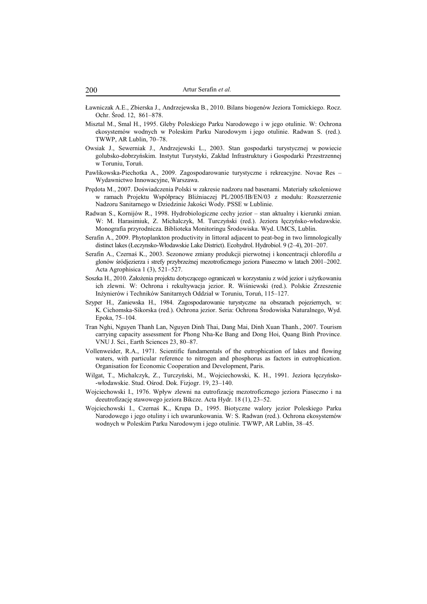- Ławniczak A.E., Zbierska J., Andrzejewska B., 2010. Bilans biogenów Jeziora Tomickiego. Rocz. Ochr. Środ. 12, 861–878.
- Misztal M., Smal H., 1995. Gleby Poleskiego Parku Narodowego i w jego otulinie. W: Ochrona ekosystemów wodnych w Poleskim Parku Narodowym i jego otulinie. Radwan S. (red.). TWWP, AR Lublin, 70–78.
- Owsiak J., Sewerniak J., Andrzejewski L., 2003. Stan gospodarki turystycznej w powiecie golubsko-dobrzyńskim. Instytut Turystyki, Zakład Infrastruktury i Gospodarki Przestrzennej w Toruniu, Toruń.
- Pawlikowska-Piechotka A., 2009. Zagospodarowanie turystyczne i rekreacyjne. Novae Res Wydawnictwo Innowacyjne, Warszawa.
- Prędota M., 2007. Doświadczenia Polski w zakresie nadzoru nad basenami. Materiały szkoleniowe w ramach Projektu Współpracy Bliźniaczej PL/2005/IB/EN/03 z modułu: Rozszerzenie Nadzoru Sanitarnego w Dziedzinie Jakości Wody. PSSE w Lublinie.
- Radwan S., Kornijów R., 1998. Hydrobiologiczne cechy jezior stan aktualny i kierunki zmian. W: M. Harasimiuk, Z. Michalczyk, M. Turczyński (red.). Jeziora łęczyńsko-włodawskie. Monografia przyrodnicza. Biblioteka Monitoringu Środowiska. Wyd. UMCS, Lublin.
- Serafin A., 2009. Phytoplankton productivity in littoral adjacent to peat-bog in two limnologically distinct lakes (Łeczynsko-Włodawskie Lake District). Ecohydrol. Hydrobiol. 9 (2–4), 201–207.
- Serafin A., Czernaś K., 2003. Sezonowe zmiany produkcji pierwotnej i koncentracji chlorofilu *a* glonów śródjezierza i strefy przybrzeżnej mezotroficznego jeziora Piaseczno w latach 2001–2002. Acta Agrophisica 1 (3), 521–527.
- Soszka H., 2010. Założenia projektu dotyczącego ograniczeń w korzystaniu z wód jezior i użytkowaniu ich zlewni. W: Ochrona i rekultywacja jezior. R. Wiśniewski (red.). Polskie Zrzeszenie Inżynierów i Techników Sanitarnych Oddział w Toruniu, Toruń, 115–127.
- Szyper H., Zaniewska H., 1984. Zagospodarowanie turystyczne na obszarach pojeziernych, w: K. Cichomska-Sikorska (red.). Ochrona jezior. Seria: Ochrona Środowiska Naturalnego, Wyd. Epoka, 75–104.
- Tran Nghi, Nguyen Thanh Lan, Nguyen Dinh Thai, Dang Mai, Dinh Xuan Thanh., 2007. Tourism carrying capacity assessment for Phong Nha-Ke Bang and Dong Hoi, Quang Binh Province. VNU J. Sci., Earth Sciences 23, 80–87.
- Vollenweider, R.A., 1971. Scientific fundamentals of the eutrophication of lakes and flowing waters, with particular reference to nitrogen and phosphorus as factors in eutrophication. Organisation for Economic Cooperation and Development, Paris.
- Wilgat, T., Michalczyk, Z., Turczyński, M., Wojciechowski, K. H., 1991. Jeziora łęczyńsko- -włodawskie. Stud. Ośrod. Dok. Fizjogr. 19, 23–140.
- Wojciechowski I., 1976. Wpływ zlewni na eutrofizację mezotroficznego jeziora Piaseczno i na deeutrofizację stawowego jeziora Bikcze. Acta Hydr. 18 (1), 23–52.
- Wojciechowski I., Czernaś K., Krupa D., 1995. Biotyczne walory jezior Poleskiego Parku Narodowego i jego otuliny i ich uwarunkowania. W: S. Radwan (red.). Ochrona ekosystemów wodnych w Poleskim Parku Narodowym i jego otulinie. TWWP, AR Lublin, 38–45.